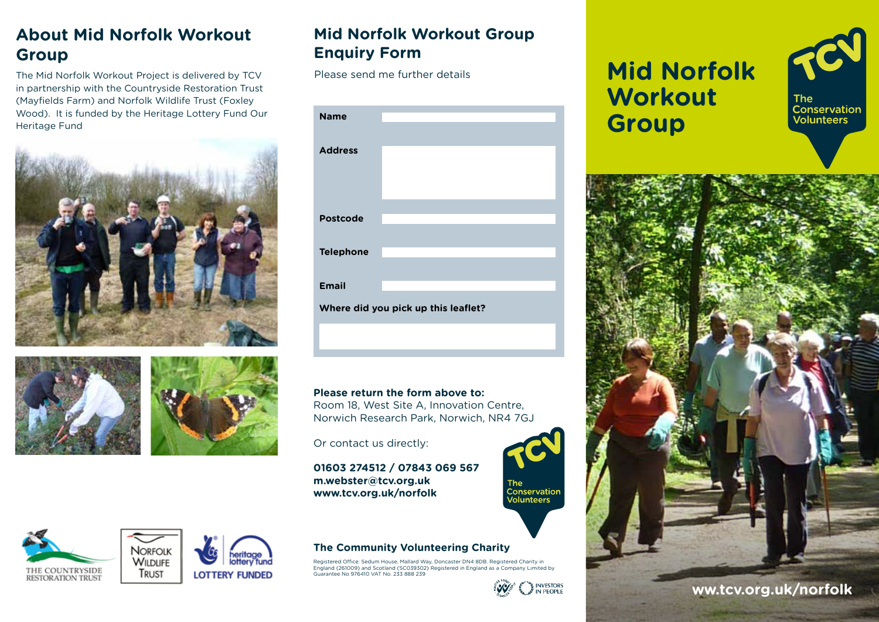# **About Mid Norfolk Workout Group**

The Mid Norfolk Workout Project is delivered by TCV in partnership with the Countryside Restoration Trust (Mayfields Farm) and Norfolk Wildlife Trust (Foxley Wood). It is funded by the Heritage Lottery Fund Our Heritage Fund





TRUST





#### **Mid Norfolk Workout Group Enquiry Form**

Please send me further details

| <b>Name</b>                         |  |
|-------------------------------------|--|
|                                     |  |
| <b>Address</b>                      |  |
|                                     |  |
|                                     |  |
| <b>Postcode</b>                     |  |
|                                     |  |
| <b>Telephone</b>                    |  |
|                                     |  |
| <b>Email</b>                        |  |
| Where did you pick up this leaflet? |  |

#### **Please return the form above to:**

Room 18, West Site A, Innovation Centre, Norwich Research Park, Norwich, NR4 7GJ

Or contact us directly:

**01603 274512 / 07843 069 567 m.webster@tcv.org.uk www.tcv.org.uk/norfolk**

#### **The Community Volunteering Charity**

Registered Office: Sedum House, Mallard Way, Doncaster DN4 8DB. Registered Charity in England (261009) and Scotland (SC039302) Registered in England as a Company Limited by Guarantee No 976410 VAT No. 233 888 239



The<br>Conservation<br>Volunteers

# **Mid Norfolk Workout Group**





**ww.tcv.org.uk/norfolk**